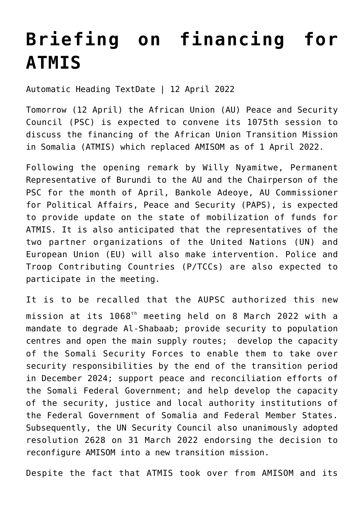## **[Briefing on financing for](https://amaniafrica-et.org/briefing-on-financing-for-atmis/) [ATMIS](https://amaniafrica-et.org/briefing-on-financing-for-atmis/)**

Automatic Heading TextDate | 12 April 2022

Tomorrow (12 April) the African Union (AU) Peace and Security Council (PSC) is expected to convene its 1075th session to discuss the financing of the African Union Transition Mission in Somalia (ATMIS) which replaced AMISOM as of 1 April 2022.

Following the opening remark by Willy Nyamitwe, Permanent Representative of Burundi to the AU and the Chairperson of the PSC for the month of April, Bankole Adeoye, AU Commissioner for Political Affairs, Peace and Security (PAPS), is expected to provide update on the state of mobilization of funds for ATMIS. It is also anticipated that the representatives of the two partner organizations of the United Nations (UN) and European Union (EU) will also make intervention. Police and Troop Contributing Countries (P/TCCs) are also expected to participate in the meeting.

It is to be recalled that the AUPSC authorized this new mission at its 1068th meeting held on 8 March 2022 with a mandate to degrade Al-Shabaab; provide security to population centres and open the main supply routes; develop the capacity of the Somali Security Forces to enable them to take over security responsibilities by the end of the transition period in December 2024; support peace and reconciliation efforts of the Somali Federal Government; and help develop the capacity of the security, justice and local authority institutions of the Federal Government of Somalia and Federal Member States. Subsequently, the UN Security Council also unanimously adopted resolution 2628 on 31 March 2022 endorsing the decision to reconfigure AMISOM into a new transition mission.

Despite the fact that ATMIS took over from AMISOM and its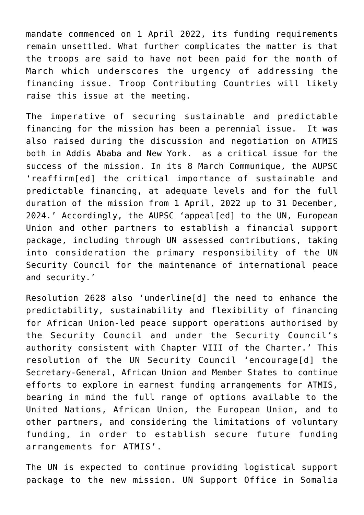mandate commenced on 1 April 2022, its funding requirements remain unsettled. What further complicates the matter is that the troops are said to have not been paid for the month of March which underscores the urgency of addressing the financing issue. Troop Contributing Countries will likely raise this issue at the meeting.

The imperative of securing sustainable and predictable financing for the mission has been a perennial issue. It was also raised during the discussion and negotiation on ATMIS both in Addis Ababa and New York. as a critical issue for the success of the mission. In its 8 March Communique, the AUPSC 'reaffirm[ed] the critical importance of sustainable and predictable financing, at adequate levels and for the full duration of the mission from 1 April, 2022 up to 31 December, 2024.' Accordingly, the AUPSC 'appeal[ed] to the UN, European Union and other partners to establish a financial support package, including through UN assessed contributions, taking into consideration the primary responsibility of the UN Security Council for the maintenance of international peace and security.'

Resolution 2628 also 'underline[d] the need to enhance the predictability, sustainability and flexibility of financing for African Union-led peace support operations authorised by the Security Council and under the Security Council's authority consistent with Chapter VIII of the Charter.' This resolution of the UN Security Council 'encourage[d] the Secretary-General, African Union and Member States to continue efforts to explore in earnest funding arrangements for ATMIS, bearing in mind the full range of options available to the United Nations, African Union, the European Union, and to other partners, and considering the limitations of voluntary funding, in order to establish secure future funding arrangements for ATMIS'.

The UN is expected to continue providing logistical support package to the new mission. UN Support Office in Somalia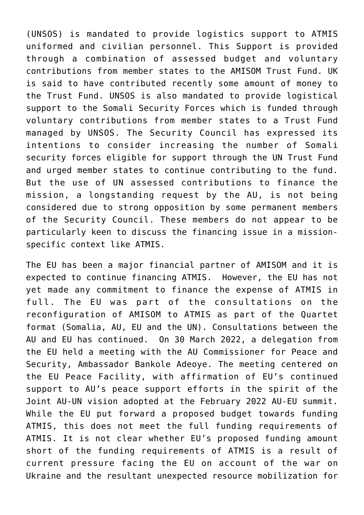(UNSOS) is mandated to provide logistics support to ATMIS uniformed and civilian personnel. This Support is provided through a combination of assessed budget and voluntary contributions from member states to the AMISOM Trust Fund. UK is said to have contributed recently some amount of money to the Trust Fund. UNSOS is also mandated to provide logistical support to the Somali Security Forces which is funded through voluntary contributions from member states to a Trust Fund managed by UNSOS. The Security Council has expressed its intentions to consider increasing the number of Somali security forces eligible for support through the UN Trust Fund and urged member states to continue contributing to the fund. But the use of UN assessed contributions to finance the mission, a longstanding request by the AU, is not being considered due to strong opposition by some permanent members of the Security Council. These members do not appear to be particularly keen to discuss the financing issue in a missionspecific context like ATMIS.

The EU has been a major financial partner of AMISOM and it is expected to continue financing ATMIS. However, the EU has not yet made any commitment to finance the expense of ATMIS in full. The EU was part of the consultations on the reconfiguration of AMISOM to ATMIS as part of the Quartet format (Somalia, AU, EU and the UN). Consultations between the AU and EU has continued. On 30 March 2022, a delegation from the EU held a meeting with the AU Commissioner for Peace and Security, Ambassador Bankole Adeoye. The meeting centered on the EU Peace Facility, with affirmation of EU's continued support to AU's peace support efforts in the spirit of the Joint AU-UN vision adopted at the February 2022 AU-EU summit. While the EU put forward a proposed budget towards funding ATMIS, this does not meet the full funding requirements of ATMIS. It is not clear whether EU's proposed funding amount short of the funding requirements of ATMIS is a result of current pressure facing the EU on account of the war on Ukraine and the resultant unexpected resource mobilization for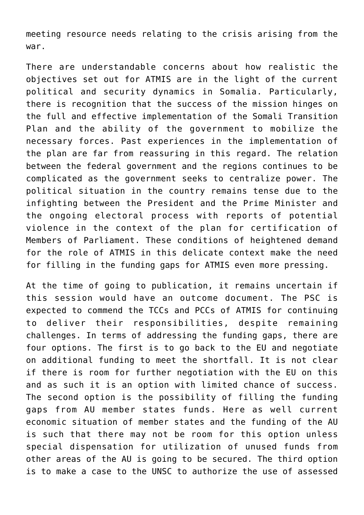meeting resource needs relating to the crisis arising from the war.

There are understandable concerns about how realistic the objectives set out for ATMIS are in the light of the current political and security dynamics in Somalia. Particularly, there is recognition that the success of the mission hinges on the full and effective implementation of the Somali Transition Plan and the ability of the government to mobilize the necessary forces. Past experiences in the implementation of the plan are far from reassuring in this regard. The relation between the federal government and the regions continues to be complicated as the government seeks to centralize power. The political situation in the country remains tense due to the infighting between the President and the Prime Minister and the ongoing electoral process with reports of potential violence in the context of the plan for certification of Members of Parliament. These conditions of heightened demand for the role of ATMIS in this delicate context make the need for filling in the funding gaps for ATMIS even more pressing.

At the time of going to publication, it remains uncertain if this session would have an outcome document. The PSC is expected to commend the TCCs and PCCs of ATMIS for continuing to deliver their responsibilities, despite remaining challenges. In terms of addressing the funding gaps, there are four options. The first is to go back to the EU and negotiate on additional funding to meet the shortfall. It is not clear if there is room for further negotiation with the EU on this and as such it is an option with limited chance of success. The second option is the possibility of filling the funding gaps from AU member states funds. Here as well current economic situation of member states and the funding of the AU is such that there may not be room for this option unless special dispensation for utilization of unused funds from other areas of the AU is going to be secured. The third option is to make a case to the UNSC to authorize the use of assessed